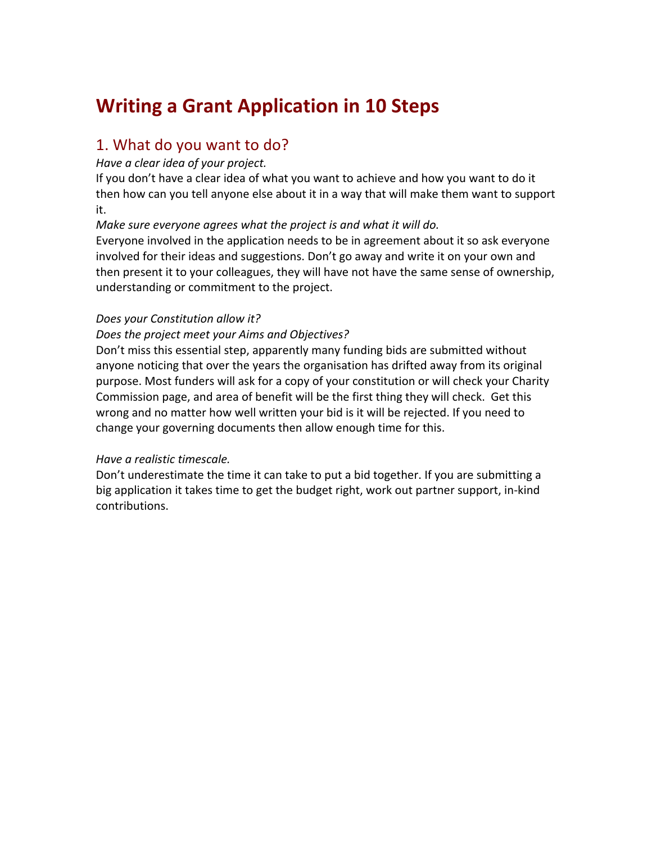# **Writing a Grant Application in 10 Steps**

# 1. What do you want to do?

#### Have a clear idea of your project.

If you don't have a clear idea of what you want to achieve and how you want to do it then how can you tell anyone else about it in a way that will make them want to support it.

*Make sure everyone agrees what the project is and what it will do.* 

Everyone involved in the application needs to be in agreement about it so ask everyone involved for their ideas and suggestions. Don't go away and write it on your own and then present it to your colleagues, they will have not have the same sense of ownership, understanding or commitment to the project.

#### **Does your Constitution allow it?**

#### **Does the project meet your Aims and Objectives?**

Don't miss this essential step, apparently many funding bids are submitted without anyone noticing that over the years the organisation has drifted away from its original purpose. Most funders will ask for a copy of your constitution or will check your Charity Commission page, and area of benefit will be the first thing they will check. Get this wrong and no matter how well written your bid is it will be rejected. If you need to change your governing documents then allow enough time for this.

#### *Have a realistic timescale.*

Don't underestimate the time it can take to put a bid together. If you are submitting a big application it takes time to get the budget right, work out partner support, in-kind contributions.!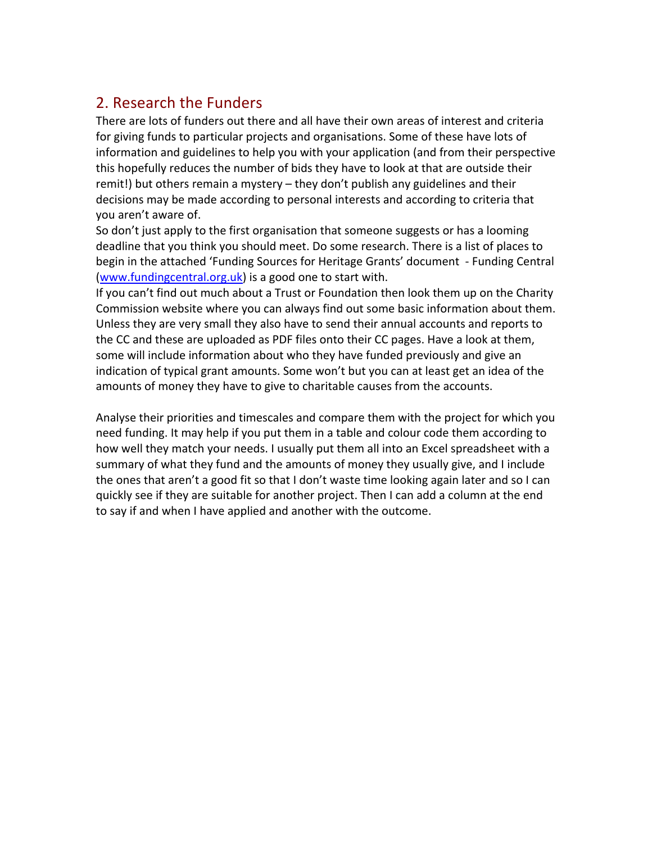# 2. Research the Funders

There are lots of funders out there and all have their own areas of interest and criteria for giving funds to particular projects and organisations. Some of these have lots of information and guidelines to help you with your application (and from their perspective this hopefully reduces the number of bids they have to look at that are outside their remit!) but others remain a mystery – they don't publish any guidelines and their decisions may be made according to personal interests and according to criteria that you aren't aware of.

So don't just apply to the first organisation that someone suggests or has a looming deadline that you think you should meet. Do some research. There is a list of places to begin in the attached 'Funding Sources for Heritage Grants' document - Funding Central (www.fundingcentral.org.uk) is a good one to start with.

If you can't find out much about a Trust or Foundation then look them up on the Charity Commission website where you can always find out some basic information about them. Unless they are very small they also have to send their annual accounts and reports to the CC and these are uploaded as PDF files onto their CC pages. Have a look at them, some will include information about who they have funded previously and give an indication of typical grant amounts. Some won't but you can at least get an idea of the amounts of money they have to give to charitable causes from the accounts.

Analyse their priorities and timescales and compare them with the project for which you need funding. It may help if you put them in a table and colour code them according to how well they match your needs. I usually put them all into an Excel spreadsheet with a summary of what they fund and the amounts of money they usually give, and I include the ones that aren't a good fit so that I don't waste time looking again later and so I can quickly see if they are suitable for another project. Then I can add a column at the end to say if and when I have applied and another with the outcome.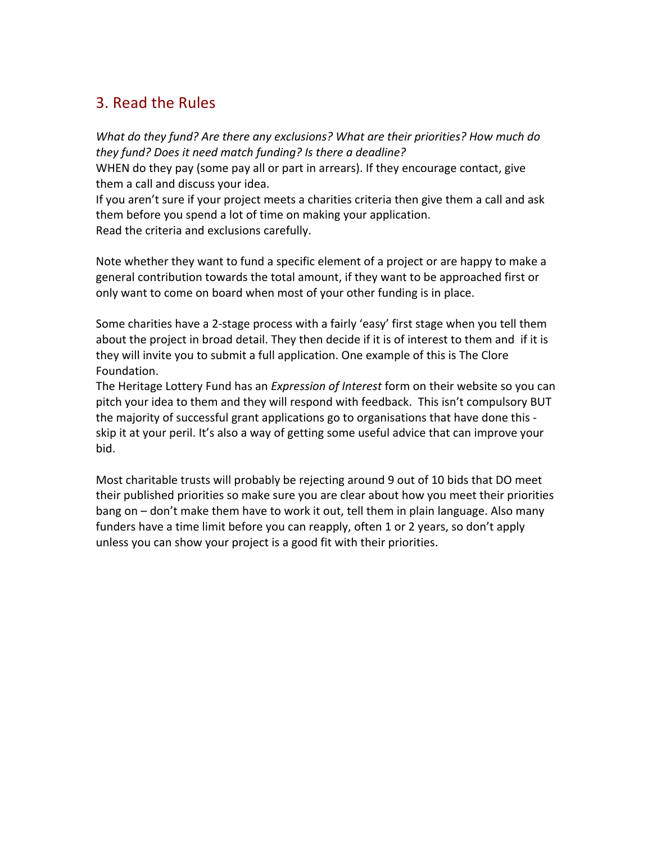## 3. Read the Rules

*What%do%they%fund?%Are%there%any%exclusions?%What%are%their%priorities? How%much%do% they%fund?%Does%it%need%match%funding?%Is%there%a%deadline?%*

WHEN do they pay (some pay all or part in arrears). If they encourage contact, give them a call and discuss your idea.

If you aren't sure if your project meets a charities criteria then give them a call and ask them before you spend a lot of time on making your application. Read the criteria and exclusions carefully.

Note whether they want to fund a specific element of a project or are happy to make a general contribution towards the total amount, if they want to be approached first or only want to come on board when most of your other funding is in place.

Some charities have a 2-stage process with a fairly 'easy' first stage when you tell them about the project in broad detail. They then decide if it is of interest to them and if it is they will invite you to submit a full application. One example of this is The Clore Foundation.

The Heritage Lottery Fund has an *Expression of Interest* form on their website so you can pitch your idea to them and they will respond with feedback. This isn't compulsory BUT the majority of successful grant applications go to organisations that have done this skip it at your peril. It's also a way of getting some useful advice that can improve your bid.

Most charitable trusts will probably be rejecting around 9 out of 10 bids that DO meet their published priorities so make sure you are clear about how you meet their priorities bang on – don't make them have to work it out, tell them in plain language. Also many funders have a time limit before you can reapply, often 1 or 2 years, so don't apply unless you can show your project is a good fit with their priorities.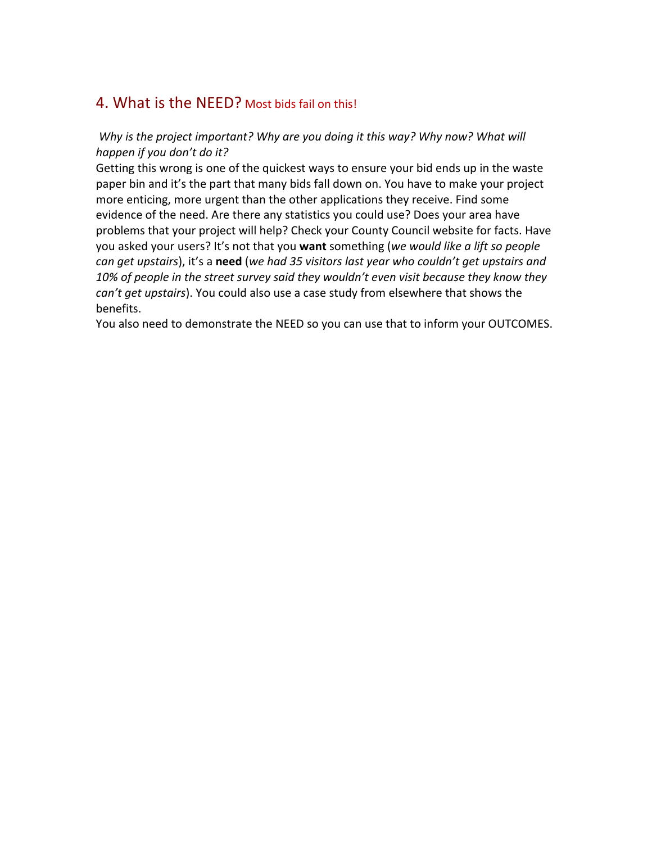### 4. What is the NEED? Most bids fail on this!

#### *Why is the project important? Why are you doing it this way? Why now? What will* happen if you don't do it?

Getting this wrong is one of the quickest ways to ensure your bid ends up in the waste paper bin and it's the part that many bids fall down on. You have to make your project more enticing, more urgent than the other applications they receive. Find some evidence of the need. Are there any statistics you could use? Does your area have problems that your project will help? Check your County Council website for facts. Have you asked your users? It's not that you want something (we would like a lift so people can get upstairs), it's a need (we had 35 visitors last year who couldn't get upstairs and 10% of people in the street survey said they wouldn't even visit because they know they can't get upstairs). You could also use a case study from elsewhere that shows the benefits.

You also need to demonstrate the NEED so you can use that to inform your OUTCOMES.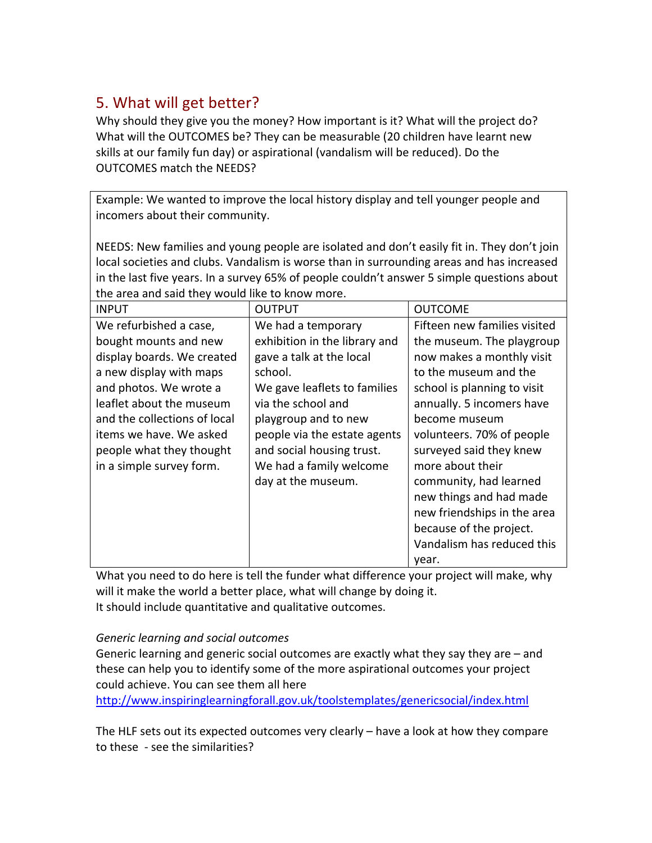# 5. What will get better?

Why should they give you the money? How important is it? What will the project do? What will the OUTCOMES be? They can be measurable (20 children have learnt new skills at our family fun day) or aspirational (vandalism will be reduced). Do the OUTCOMES match the NEEDS?

Example: We wanted to improve the local history display and tell younger people and incomers about their community.

NEEDS: New families and young people are isolated and don't easily fit in. They don't join local societies and clubs. Vandalism is worse than in surrounding areas and has increased in the last five years. In a survey 65% of people couldn't answer 5 simple questions about the area and said they would like to know more.

| <b>INPUT</b>                 | <b>OUTPUT</b>                 | <b>OUTCOME</b>               |
|------------------------------|-------------------------------|------------------------------|
| We refurbished a case,       | We had a temporary            | Fifteen new families visited |
| bought mounts and new        | exhibition in the library and | the museum. The playgroup    |
| display boards. We created   | gave a talk at the local      | now makes a monthly visit    |
| a new display with maps      | school.                       | to the museum and the        |
| and photos. We wrote a       | We gave leaflets to families  | school is planning to visit  |
| leaflet about the museum     | via the school and            | annually. 5 incomers have    |
| and the collections of local | playgroup and to new          | become museum                |
| items we have. We asked      | people via the estate agents  | volunteers. 70% of people    |
| people what they thought     | and social housing trust.     | surveyed said they knew      |
| in a simple survey form.     | We had a family welcome       | more about their             |
|                              | day at the museum.            | community, had learned       |
|                              |                               | new things and had made      |
|                              |                               | new friendships in the area  |
|                              |                               | because of the project.      |
|                              |                               | Vandalism has reduced this   |
|                              |                               | vear.                        |

What you need to do here is tell the funder what difference your project will make, why will it make the world a better place, what will change by doing it. It should include quantitative and qualitative outcomes.

#### *Generic%learning%and%social%outcomes*

Generic learning and generic social outcomes are exactly what they say they are  $-$  and these can help you to identify some of the more aspirational outcomes your project could achieve. You can see them all here

http://www.inspiringlearningforall.gov.uk/toolstemplates/genericsocial/index.html

The HLF sets out its expected outcomes very clearly  $-$  have a look at how they compare to these - see the similarities?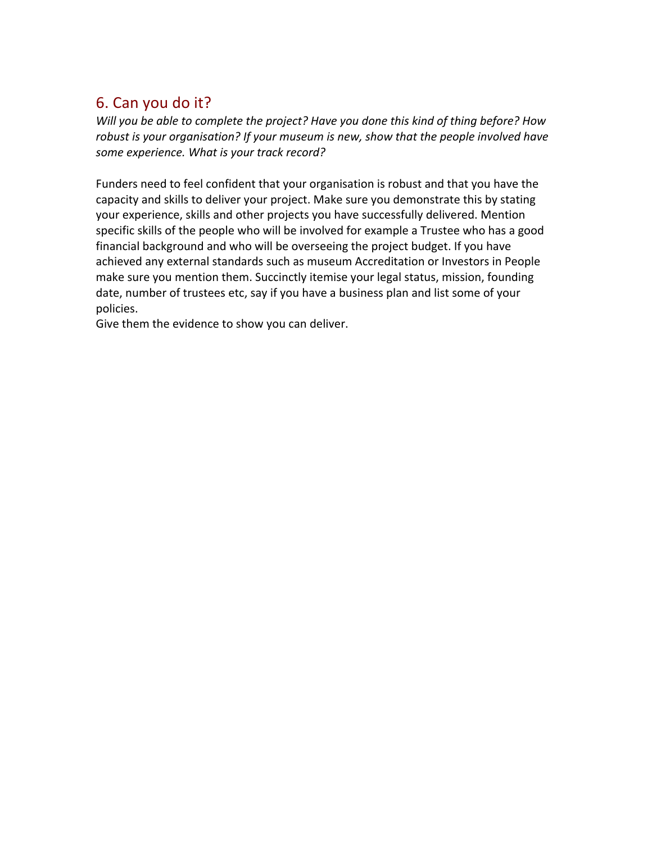# 6. Can you do it?

*Will you be able to complete the project? Have you done this kind of thing before? How* robust is your organisation? If your museum is new, show that the people involved have some experience. What is your track record?

Funders need to feel confident that your organisation is robust and that you have the capacity and skills to deliver your project. Make sure you demonstrate this by stating your experience, skills and other projects you have successfully delivered. Mention specific skills of the people who will be involved for example a Trustee who has a good financial background and who will be overseeing the project budget. If you have achieved any external standards such as museum Accreditation or Investors in People make sure you mention them. Succinctly itemise your legal status, mission, founding date, number of trustees etc, say if you have a business plan and list some of your policies.

Give them the evidence to show you can deliver.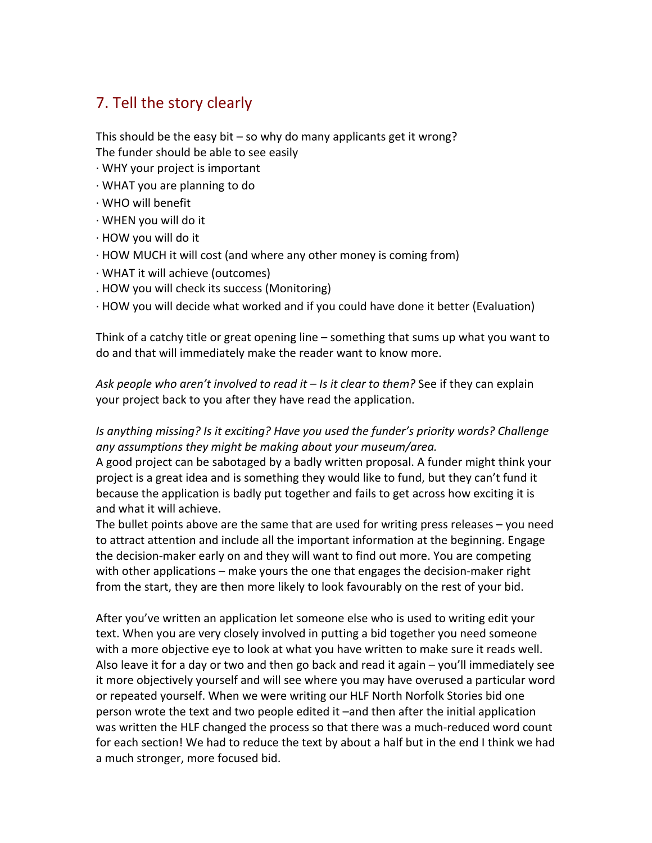# 7. Tell the story clearly

This should be the easy bit – so why do many applicants get it wrong? The funder should be able to see easily

- $\cdot$  WHY your project is important
- $\cdot$  WHAT you are planning to do
- $\cdot$  WHO will benefit
- $\cdot$  WHEN you will do it
- $\cdot$  HOW you will do it
- $\cdot$  HOW MUCH it will cost (and where any other money is coming from)
- $\cdot$  WHAT it will achieve (outcomes).
- . HOW you will check its success (Monitoring)
- $\cdot$  HOW you will decide what worked and if you could have done it better (Evaluation)

Think of a catchy title or great opening line – something that sums up what you want to do and that will immediately make the reader want to know more.

Ask people who aren't involved to read it – Is it clear to them? See if they can explain your project back to you after they have read the application.

#### *Is anything missing? Is it exciting? Have you used the funder's priority words? Challenge* any assumptions they might be making about your museum/area.

A good project can be sabotaged by a badly written proposal. A funder might think your project is a great idea and is something they would like to fund, but they can't fund it because the application is badly put together and fails to get across how exciting it is and what it will achieve.

The bullet points above are the same that are used for writing press releases – you need to attract attention and include all the important information at the beginning. Engage the decision-maker early on and they will want to find out more. You are competing with other applications – make yours the one that engages the decision-maker right from the start, they are then more likely to look favourably on the rest of your bid.

After you've written an application let someone else who is used to writing edit your text. When you are very closely involved in putting a bid together you need someone with a more objective eye to look at what you have written to make sure it reads well. Also leave it for a day or two and then go back and read it again  $-$  you'll immediately see it more objectively yourself and will see where you may have overused a particular word or repeated yourself. When we were writing our HLF North Norfolk Stories bid one person wrote the text and two people edited it –and then after the initial application was written the HLF changed the process so that there was a much-reduced word count for each section! We had to reduce the text by about a half but in the end I think we had a much stronger, more focused bid.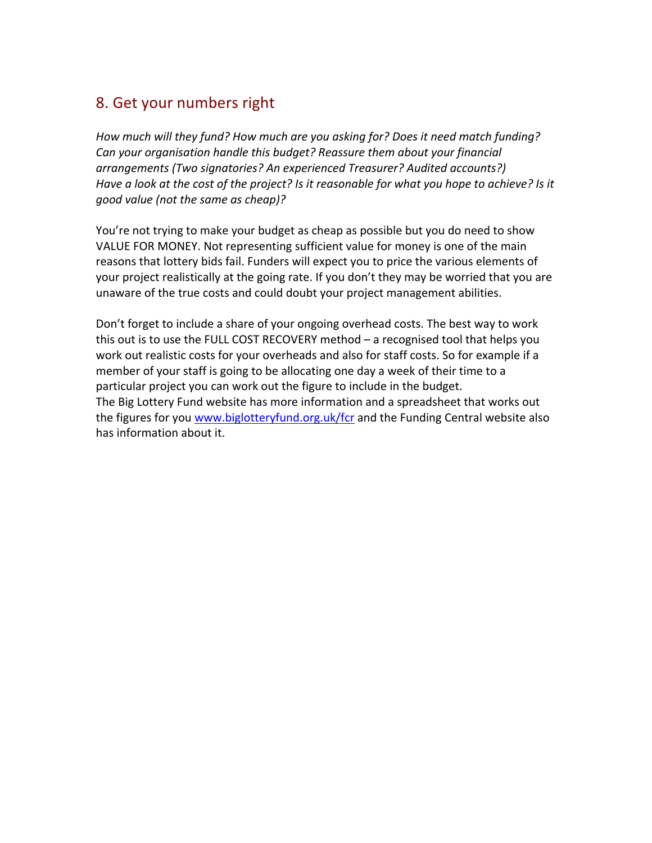### 8. Get your numbers right

How much will they fund? How much are you asking for? Does it need match funding? Can your organisation handle this budget? Reassure them about your financial *arrangements%(Two%signatories?%An%experienced%Treasurer?%Audited%accounts?)%* Have a look at the cost of the project? Is it reasonable for what you hope to achieve? Is it good value (not the same as cheap)?

You're not trying to make your budget as cheap as possible but you do need to show VALUE FOR MONEY. Not representing sufficient value for money is one of the main reasons that lottery bids fail. Funders will expect you to price the various elements of your project realistically at the going rate. If you don't they may be worried that you are unaware of the true costs and could doubt your project management abilities.

Don't forget to include a share of your ongoing overhead costs. The best way to work this out is to use the FULL COST RECOVERY method  $-$  a recognised tool that helps you work out realistic costs for your overheads and also for staff costs. So for example if a member of your staff is going to be allocating one day a week of their time to a particular project you can work out the figure to include in the budget. The Big Lottery Fund website has more information and a spreadsheet that works out the figures for you www.biglotteryfund.org.uk/fcr and the Funding Central website also has information about it.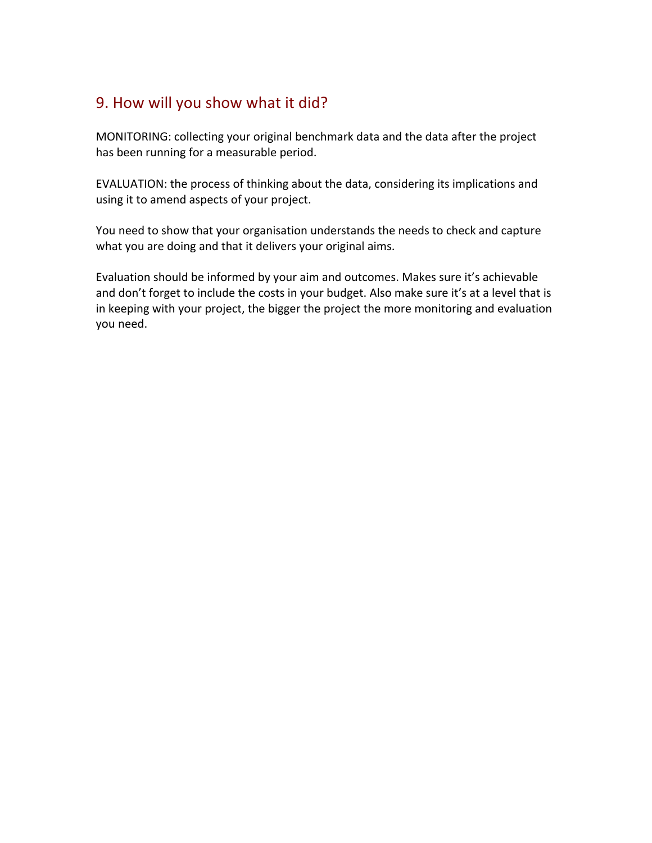# 9. How will you show what it did?

MONITORING: collecting your original benchmark data and the data after the project has been running for a measurable period.

EVALUATION: the process of thinking about the data, considering its implications and using it to amend aspects of your project.

You need to show that your organisation understands the needs to check and capture what you are doing and that it delivers your original aims.

Evaluation should be informed by your aim and outcomes. Makes sure it's achievable and don't forget to include the costs in your budget. Also make sure it's at a level that is in keeping with your project, the bigger the project the more monitoring and evaluation you need.